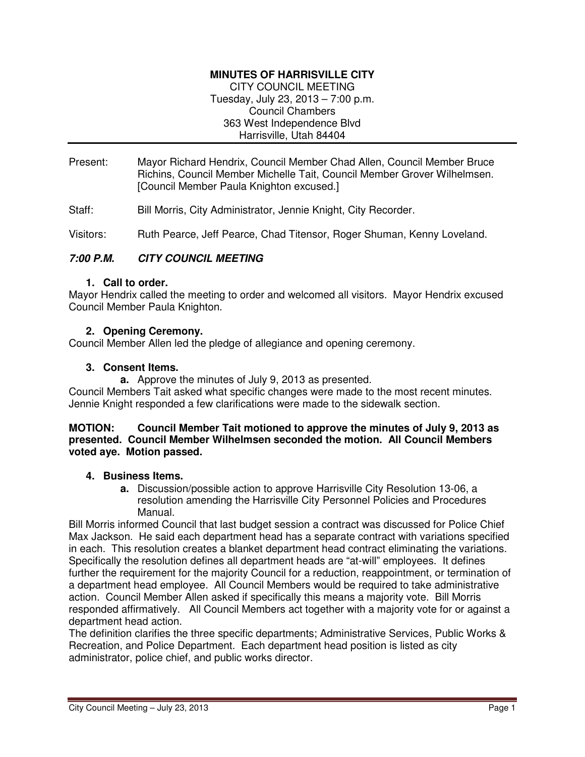## **MINUTES OF HARRISVILLE CITY**

CITY COUNCIL MEETING Tuesday, July 23, 2013 – 7:00 p.m. Council Chambers 363 West Independence Blvd Harrisville, Utah 84404

Present: Mayor Richard Hendrix, Council Member Chad Allen, Council Member Bruce Richins, Council Member Michelle Tait, Council Member Grover Wilhelmsen. [Council Member Paula Knighton excused.]

Staff: Bill Morris, City Administrator, Jennie Knight, City Recorder.

Visitors: Ruth Pearce, Jeff Pearce, Chad Titensor, Roger Shuman, Kenny Loveland.

## **7:00 P.M. CITY COUNCIL MEETING**

#### **1. Call to order.**

Mayor Hendrix called the meeting to order and welcomed all visitors. Mayor Hendrix excused Council Member Paula Knighton.

### **2. Opening Ceremony.**

Council Member Allen led the pledge of allegiance and opening ceremony.

#### **3. Consent Items.**

**a.** Approve the minutes of July 9, 2013 as presented.

Council Members Tait asked what specific changes were made to the most recent minutes. Jennie Knight responded a few clarifications were made to the sidewalk section.

#### **MOTION: Council Member Tait motioned to approve the minutes of July 9, 2013 as presented. Council Member Wilhelmsen seconded the motion. All Council Members voted aye. Motion passed.**

## **4. Business Items.**

**a.** Discussion/possible action to approve Harrisville City Resolution 13-06, a resolution amending the Harrisville City Personnel Policies and Procedures Manual.

Bill Morris informed Council that last budget session a contract was discussed for Police Chief Max Jackson. He said each department head has a separate contract with variations specified in each. This resolution creates a blanket department head contract eliminating the variations. Specifically the resolution defines all department heads are "at-will" employees. It defines further the requirement for the majority Council for a reduction, reappointment, or termination of a department head employee. All Council Members would be required to take administrative action. Council Member Allen asked if specifically this means a majority vote. Bill Morris responded affirmatively. All Council Members act together with a majority vote for or against a department head action.

The definition clarifies the three specific departments; Administrative Services, Public Works & Recreation, and Police Department. Each department head position is listed as city administrator, police chief, and public works director.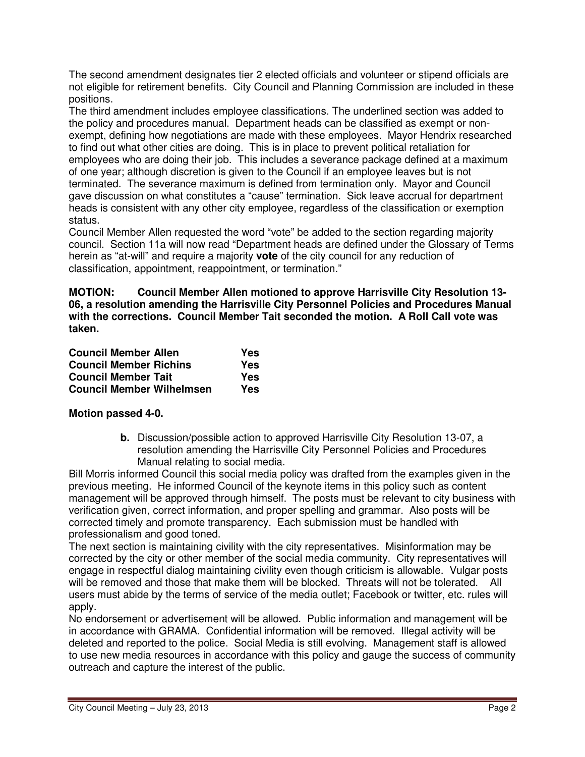The second amendment designates tier 2 elected officials and volunteer or stipend officials are not eligible for retirement benefits. City Council and Planning Commission are included in these positions.

The third amendment includes employee classifications. The underlined section was added to the policy and procedures manual. Department heads can be classified as exempt or nonexempt, defining how negotiations are made with these employees. Mayor Hendrix researched to find out what other cities are doing. This is in place to prevent political retaliation for employees who are doing their job. This includes a severance package defined at a maximum of one year; although discretion is given to the Council if an employee leaves but is not terminated. The severance maximum is defined from termination only. Mayor and Council gave discussion on what constitutes a "cause" termination. Sick leave accrual for department heads is consistent with any other city employee, regardless of the classification or exemption status.

Council Member Allen requested the word "vote" be added to the section regarding majority council. Section 11a will now read "Department heads are defined under the Glossary of Terms herein as "at-will" and require a majority **vote** of the city council for any reduction of classification, appointment, reappointment, or termination."

**MOTION: Council Member Allen motioned to approve Harrisville City Resolution 13- 06, a resolution amending the Harrisville City Personnel Policies and Procedures Manual with the corrections. Council Member Tait seconded the motion. A Roll Call vote was taken.** 

| <b>Council Member Allen</b>      | Yes |
|----------------------------------|-----|
| <b>Council Member Richins</b>    | Yes |
| <b>Council Member Tait</b>       | Yes |
| <b>Council Member Wilhelmsen</b> | Yes |

# **Motion passed 4-0.**

**b.** Discussion/possible action to approved Harrisville City Resolution 13-07, a resolution amending the Harrisville City Personnel Policies and Procedures Manual relating to social media.

Bill Morris informed Council this social media policy was drafted from the examples given in the previous meeting. He informed Council of the keynote items in this policy such as content management will be approved through himself. The posts must be relevant to city business with verification given, correct information, and proper spelling and grammar. Also posts will be corrected timely and promote transparency. Each submission must be handled with professionalism and good toned.

The next section is maintaining civility with the city representatives. Misinformation may be corrected by the city or other member of the social media community. City representatives will engage in respectful dialog maintaining civility even though criticism is allowable. Vulgar posts will be removed and those that make them will be blocked. Threats will not be tolerated. All users must abide by the terms of service of the media outlet; Facebook or twitter, etc. rules will apply.

No endorsement or advertisement will be allowed. Public information and management will be in accordance with GRAMA. Confidential information will be removed. Illegal activity will be deleted and reported to the police. Social Media is still evolving. Management staff is allowed to use new media resources in accordance with this policy and gauge the success of community outreach and capture the interest of the public.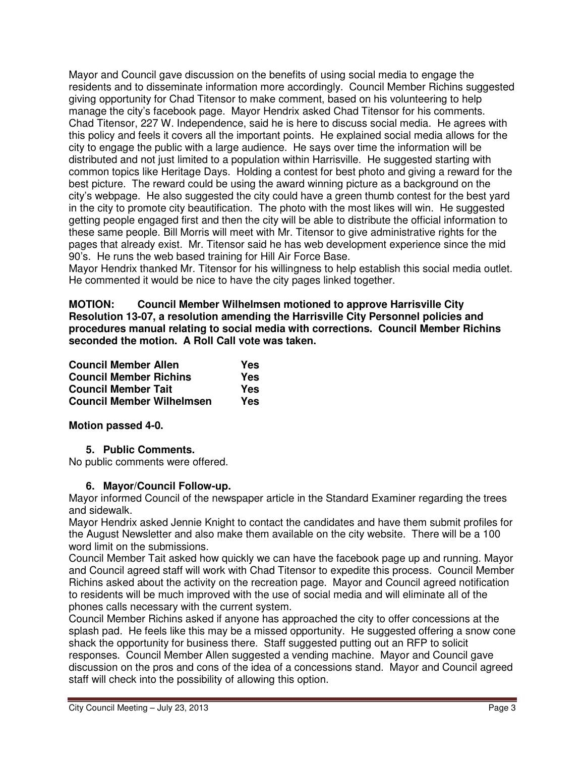Mayor and Council gave discussion on the benefits of using social media to engage the residents and to disseminate information more accordingly. Council Member Richins suggested giving opportunity for Chad Titensor to make comment, based on his volunteering to help manage the city's facebook page. Mayor Hendrix asked Chad Titensor for his comments. Chad Titensor, 227 W. Independence, said he is here to discuss social media. He agrees with this policy and feels it covers all the important points. He explained social media allows for the city to engage the public with a large audience. He says over time the information will be distributed and not just limited to a population within Harrisville. He suggested starting with common topics like Heritage Days. Holding a contest for best photo and giving a reward for the best picture. The reward could be using the award winning picture as a background on the city's webpage. He also suggested the city could have a green thumb contest for the best yard in the city to promote city beautification. The photo with the most likes will win. He suggested getting people engaged first and then the city will be able to distribute the official information to these same people. Bill Morris will meet with Mr. Titensor to give administrative rights for the pages that already exist. Mr. Titensor said he has web development experience since the mid 90's. He runs the web based training for Hill Air Force Base.

Mayor Hendrix thanked Mr. Titensor for his willingness to help establish this social media outlet. He commented it would be nice to have the city pages linked together.

**MOTION: Council Member Wilhelmsen motioned to approve Harrisville City Resolution 13-07, a resolution amending the Harrisville City Personnel policies and procedures manual relating to social media with corrections. Council Member Richins seconded the motion. A Roll Call vote was taken.** 

| <b>Council Member Allen</b>      | Yes |
|----------------------------------|-----|
| <b>Council Member Richins</b>    | Yes |
| <b>Council Member Tait</b>       | Yes |
| <b>Council Member Wilhelmsen</b> | Yes |

# **Motion passed 4-0.**

# **5. Public Comments.**

No public comments were offered.

## **6. Mayor/Council Follow-up.**

Mayor informed Council of the newspaper article in the Standard Examiner regarding the trees and sidewalk.

Mayor Hendrix asked Jennie Knight to contact the candidates and have them submit profiles for the August Newsletter and also make them available on the city website. There will be a 100 word limit on the submissions.

Council Member Tait asked how quickly we can have the facebook page up and running. Mayor and Council agreed staff will work with Chad Titensor to expedite this process. Council Member Richins asked about the activity on the recreation page. Mayor and Council agreed notification to residents will be much improved with the use of social media and will eliminate all of the phones calls necessary with the current system.

Council Member Richins asked if anyone has approached the city to offer concessions at the splash pad. He feels like this may be a missed opportunity. He suggested offering a snow cone shack the opportunity for business there. Staff suggested putting out an RFP to solicit responses. Council Member Allen suggested a vending machine. Mayor and Council gave discussion on the pros and cons of the idea of a concessions stand. Mayor and Council agreed staff will check into the possibility of allowing this option.